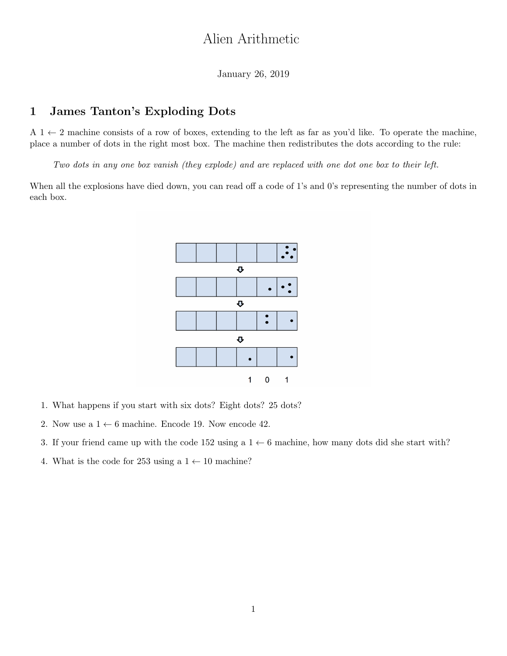# Alien Arithmetic

January 26, 2019

### 1 James Tanton's Exploding Dots

 $A_1 \leftarrow 2$  machine consists of a row of boxes, extending to the left as far as you'd like. To operate the machine, place a number of dots in the right most box. The machine then redistributes the dots according to the rule:

Two dots in any one box vanish (they explode) and are replaced with one dot one box to their left.

When all the explosions have died down, you can read off a code of 1's and 0's representing the number of dots in each box.



- 1. What happens if you start with six dots? Eight dots? 25 dots?
- 2. Now use a  $1 \leftarrow 6$  machine. Encode 19. Now encode 42.
- 3. If your friend came up with the code 152 using a  $1 \leftarrow 6$  machine, how many dots did she start with?
- 4. What is the code for 253 using a  $1 \leftarrow 10$  machine?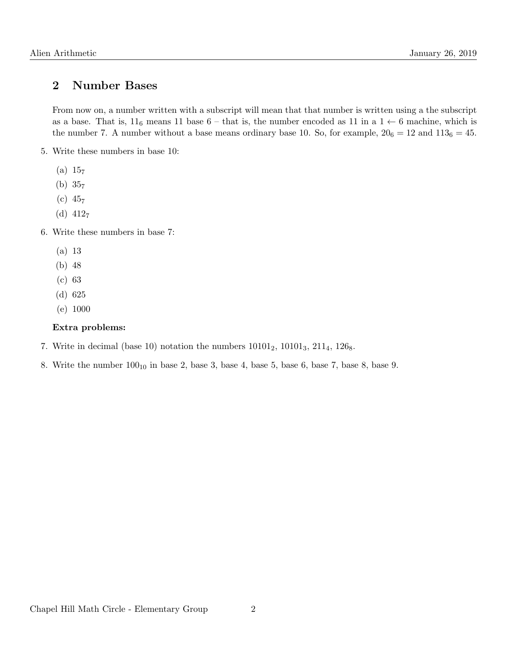## 2 Number Bases

From now on, a number written with a subscript will mean that that number is written using a the subscript as a base. That is,  $11_6$  means 11 base 6 – that is, the number encoded as 11 in a  $1 \leftarrow 6$  machine, which is the number 7. A number without a base means ordinary base 10. So, for example,  $20<sub>6</sub> = 12$  and  $113<sub>6</sub> = 45$ .

- 5. Write these numbers in base 10:
	- $(a) 157$
	- (b) 35<sup>7</sup>
	- $(c) 45<sub>7</sub>$
	- (d)  $412_7$
- 6. Write these numbers in base 7:
	- (a) 13
	- (b) 48
	- (c) 63
	- (d) 625
	- (e) 1000

#### Extra problems:

- 7. Write in decimal (base 10) notation the numbers  $10101_2$ ,  $10101_3$ ,  $211_4$ ,  $126_8$ .
- 8. Write the number  $100_{10}$  in base 2, base 3, base 4, base 5, base 6, base 7, base 8, base 9.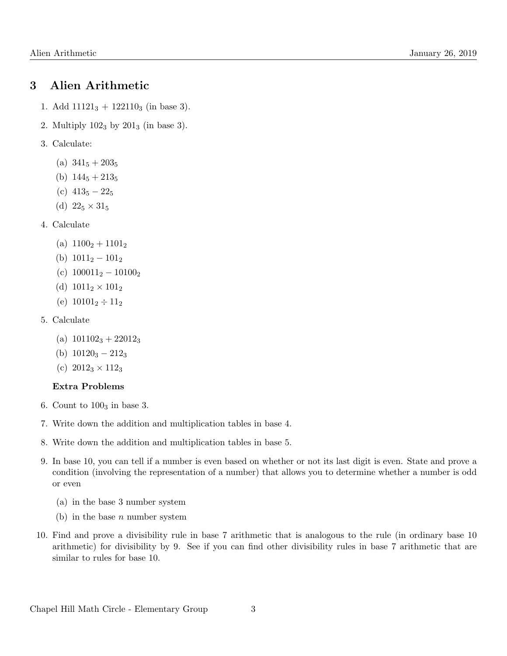### 3 Alien Arithmetic

- 1. Add  $11121_3 + 122110_3$  (in base 3).
- 2. Multiply  $102<sub>3</sub>$  by  $201<sub>3</sub>$  (in base 3).
- 3. Calculate:
	- (a)  $341_5 + 203_5$
	- (b)  $144_5 + 213_5$
	- (c)  $413_5 22_5$
	- (d)  $22_5 \times 31_5$
- 4. Calculate
	- (a)  $1100<sub>2</sub> + 1101<sub>2</sub>$
	- (b)  $1011_2 101_2$
	- (c)  $100011_2 10100_2$
	- (d)  $1011_2 \times 101_2$
	- (e)  $10101_2 \div 11_2$
- 5. Calculate
	- (a)  $101102_3 + 22012_3$
	- (b)  $10120_3 212_3$
	- (c)  $2012_3 \times 112_3$

#### Extra Problems

- 6. Count to  $100<sub>3</sub>$  in base 3.
- 7. Write down the addition and multiplication tables in base 4.
- 8. Write down the addition and multiplication tables in base 5.
- 9. In base 10, you can tell if a number is even based on whether or not its last digit is even. State and prove a condition (involving the representation of a number) that allows you to determine whether a number is odd or even
	- (a) in the base 3 number system
	- (b) in the base  $n$  number system
- 10. Find and prove a divisibility rule in base 7 arithmetic that is analogous to the rule (in ordinary base 10 arithmetic) for divisibility by 9. See if you can find other divisibility rules in base 7 arithmetic that are similar to rules for base 10.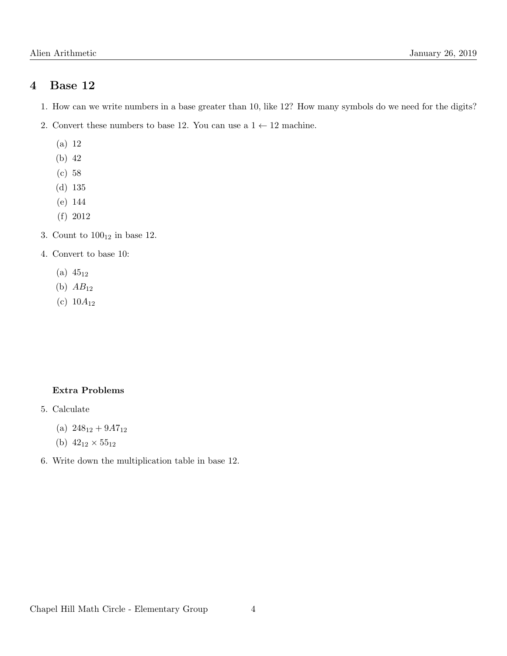### 4 Base 12

- 1. How can we write numbers in a base greater than 10, like 12? How many symbols do we need for the digits?
- 2. Convert these numbers to base 12. You can use a  $1 \leftarrow 12$  machine.
	- (a) 12
	- (b) 42
	- (c) 58
	- (d) 135
	- (e) 144
	- (f) 2012
- 3. Count to  $100_{12}$  in base 12.
- 4. Convert to base 10:
	- $(a) 45_{12}$
	- (b)  $AB_{12}$
	- (c)  $10A_{12}$

#### Extra Problems

- 5. Calculate
	- (a)  $248_{12} + 9A7_{12}$
	- (b)  $42_{12} \times 55_{12}$
- 6. Write down the multiplication table in base 12.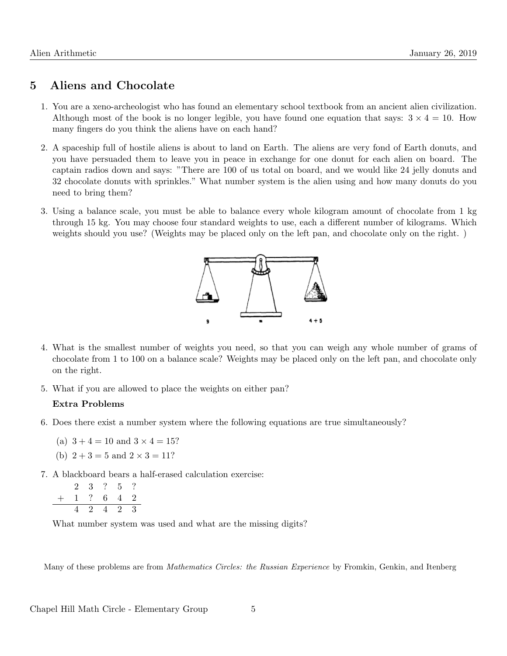### 5 Aliens and Chocolate

- 1. You are a xeno-archeologist who has found an elementary school textbook from an ancient alien civilization. Although most of the book is no longer legible, you have found one equation that says:  $3 \times 4 = 10$ . How many fingers do you think the aliens have on each hand?
- 2. A spaceship full of hostile aliens is about to land on Earth. The aliens are very fond of Earth donuts, and you have persuaded them to leave you in peace in exchange for one donut for each alien on board. The captain radios down and says: "There are 100 of us total on board, and we would like 24 jelly donuts and 32 chocolate donuts with sprinkles." What number system is the alien using and how many donuts do you need to bring them?
- 3. Using a balance scale, you must be able to balance every whole kilogram amount of chocolate from 1 kg through 15 kg. You may choose four standard weights to use, each a different number of kilograms. Which weights should you use? (Weights may be placed only on the left pan, and chocolate only on the right. )



- 4. What is the smallest number of weights you need, so that you can weigh any whole number of grams of chocolate from 1 to 100 on a balance scale? Weights may be placed only on the left pan, and chocolate only on the right.
- 5. What if you are allowed to place the weights on either pan?

#### Extra Problems

- 6. Does there exist a number system where the following equations are true simultaneously?
	- (a)  $3 + 4 = 10$  and  $3 \times 4 = 15$ ?
	- (b)  $2 + 3 = 5$  and  $2 \times 3 = 11$ ?
- 7. A blackboard bears a half-erased calculation exercise:

$$
\begin{array}{cccccc} & 2 & 3 & ? & 5 & ? \\ + & 1 & ? & 6 & 4 & 2 \\ \hline & 4 & 2 & 4 & 2 & 3 \end{array}
$$

What number system was used and what are the missing digits?

Many of these problems are from *Mathematics Circles: the Russian Experience* by Fromkin, Genkin, and Itenberg